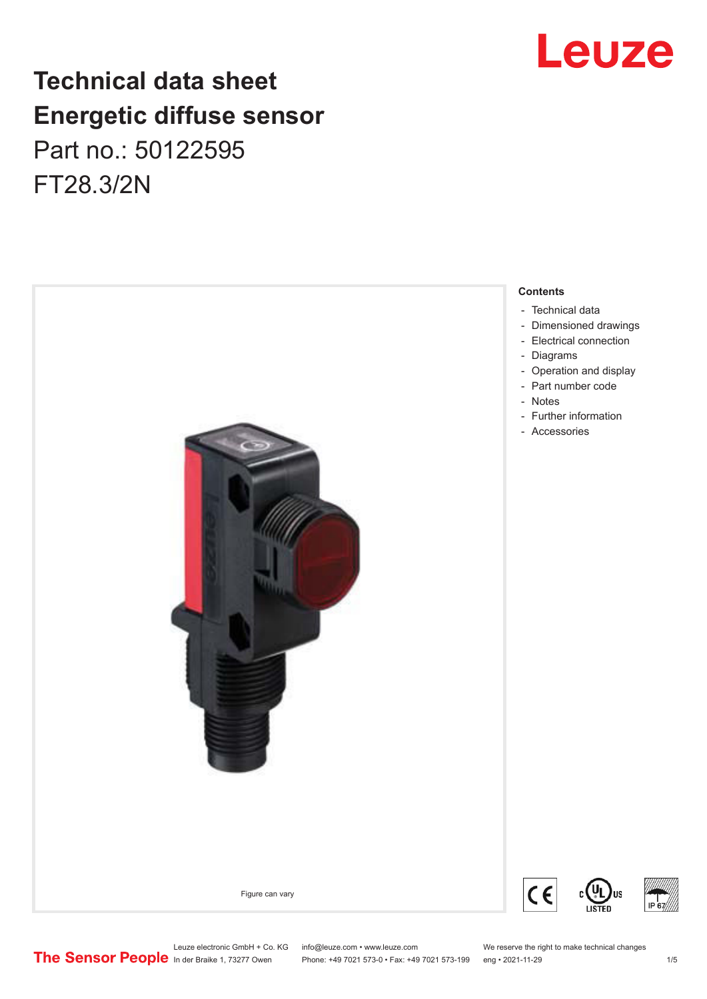## **Technical data sheet Energetic diffuse sensor** Part no.: 50122595 FT28.3/2N





### **Contents**

Leuze electronic GmbH + Co. KG info@leuze.com • www.leuze.com We reserve the right to make technical changes<br> **The Sensor People** in der Braike 1, 73277 Owen Phone: +49 7021 573-0 • Fax: +49 7021 573-199 eng • 2021-11-29 Phone: +49 7021 573-0 • Fax: +49 7021 573-199 eng • 2021-11-29 1 2021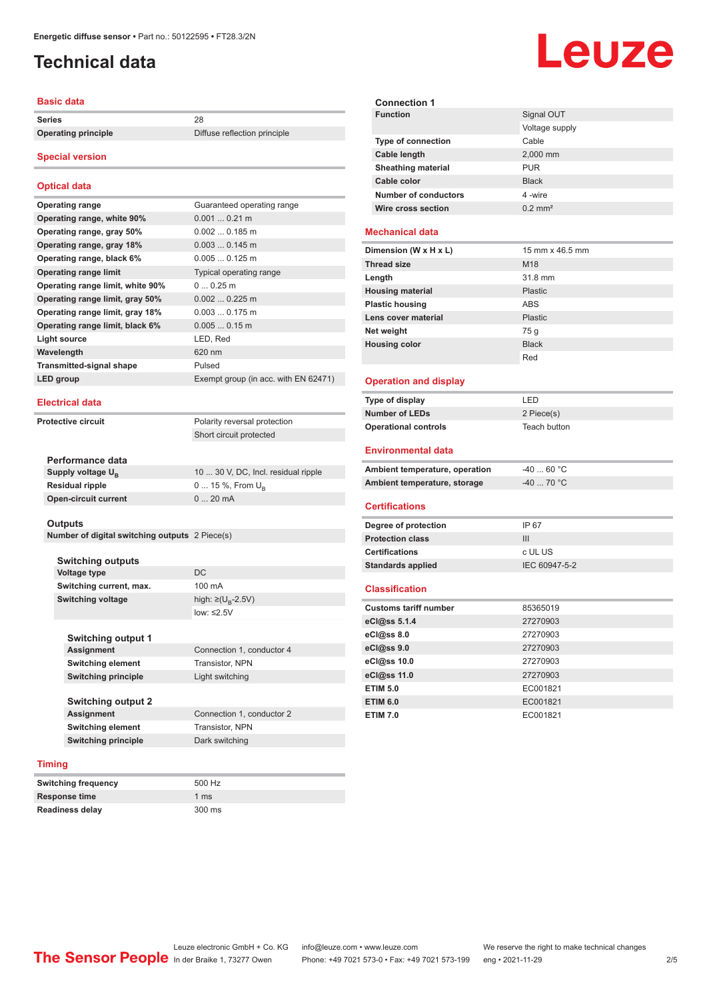## <span id="page-1-0"></span>**Technical data**

#### **Basic data**

**Series** 28

**Operating principle** Diffuse reflection principle

#### **Special version**

#### **Optical data**

| <b>Operating range</b>           | Guaranteed operating range           |
|----------------------------------|--------------------------------------|
| Operating range, white 90%       | $0.0010.21$ m                        |
| Operating range, gray 50%        | $0.0020.185$ m                       |
| Operating range, gray 18%        | $0.0030.145$ m                       |
| Operating range, black 6%        | $0.0050.125$ m                       |
| <b>Operating range limit</b>     | Typical operating range              |
| Operating range limit, white 90% | $00.25$ m                            |
| Operating range limit, gray 50%  | $0.0020.225$ m                       |
| Operating range limit, gray 18%  | $0.0030.175$ m                       |
| Operating range limit, black 6%  | $0.0050.15$ m                        |
| Light source                     | LED, Red                             |
| Wavelength                       | 620 nm                               |
| <b>Transmitted-signal shape</b>  | Pulsed                               |
| LED group                        | Exempt group (in acc. with EN 62471) |

#### **Electrical data**

**Protective circuit** Polarity reversal protection

Short circuit protected

| Performance data              |                                     |
|-------------------------------|-------------------------------------|
| Supply voltage U <sub>B</sub> | 10  30 V, DC, Incl. residual ripple |
| <b>Residual ripple</b>        | 0  15 %, From $U_{\rm B}$           |
| Open-circuit current          | $020$ mA                            |

#### **Outputs**

**Number of digital switching outputs** 2 Piece(s)

**Switching outputs Voltage type** DC **Switching current, max.** 100 mA **Switching voltage** 

high:  $\geq$ (U<sub>p</sub>-2.5V) low: ≤2.5V

| <b>Switching output 1</b>  |                           |
|----------------------------|---------------------------|
| <b>Assignment</b>          | Connection 1, conductor 4 |
| <b>Switching element</b>   | Transistor, NPN           |
| <b>Switching principle</b> | Light switching           |
|                            |                           |
| <b>Switching output 2</b>  |                           |
| <b>Assignment</b>          | Connection 1, conductor 2 |
| <b>Switching element</b>   | Transistor, NPN           |
| <b>Switching principle</b> | Dark switching            |

#### **Timing**

| <b>Switching frequency</b> | 500 Hz           |
|----------------------------|------------------|
| Response time              | 1 $\text{ms}$    |
| <b>Readiness delay</b>     | $300 \text{ ms}$ |

# Leuze

| <b>Connection 1</b>       |                       |
|---------------------------|-----------------------|
| <b>Function</b>           | Signal OUT            |
|                           | Voltage supply        |
| <b>Type of connection</b> | Cable                 |
| Cable length              | 2,000 mm              |
| <b>Sheathing material</b> | <b>PUR</b>            |
| Cable color               | <b>Black</b>          |
| Number of conductors      | 4-wire                |
| Wire cross section        | $0.2$ mm <sup>2</sup> |
|                           |                       |

#### **Mechanical data**

| Dimension (W x H x L)   | 15 mm x 46.5 mm |
|-------------------------|-----------------|
| <b>Thread size</b>      | M <sub>18</sub> |
| Length                  | 31.8 mm         |
| <b>Housing material</b> | <b>Plastic</b>  |
| <b>Plastic housing</b>  | <b>ABS</b>      |
| Lens cover material     | <b>Plastic</b>  |
| Net weight              | 75 g            |
| <b>Housing color</b>    | <b>Black</b>    |
|                         | Red             |

#### **Operation and display**

| Type of display             | I FD.        |
|-----------------------------|--------------|
| <b>Number of LEDs</b>       | 2 Piece(s)   |
| <b>Operational controls</b> | Teach button |

#### **Environmental data**

| Ambient temperature, operation | -40  60 °C                       |
|--------------------------------|----------------------------------|
| Ambient temperature, storage   | $-40$ 70 $^{\circ}$ C $^{\circ}$ |

#### **Certifications**

| Degree of protection     | IP 67         |
|--------------------------|---------------|
| <b>Protection class</b>  | Ш             |
| <b>Certifications</b>    | c UL US       |
| <b>Standards applied</b> | IEC 60947-5-2 |
|                          |               |

#### **Classification**

| <b>Customs tariff number</b> | 85365019 |
|------------------------------|----------|
| eCl@ss 5.1.4                 | 27270903 |
| $eC/\omega$ ss 8.0           | 27270903 |
| $eC$ <sub>l</sub> $@ss$ 9.0  | 27270903 |
| eCl@ss 10.0                  | 27270903 |
| eCl@ss 11.0                  | 27270903 |
| <b>ETIM 5.0</b>              | EC001821 |
| <b>ETIM 6.0</b>              | EC001821 |
| <b>ETIM 7.0</b>              | EC001821 |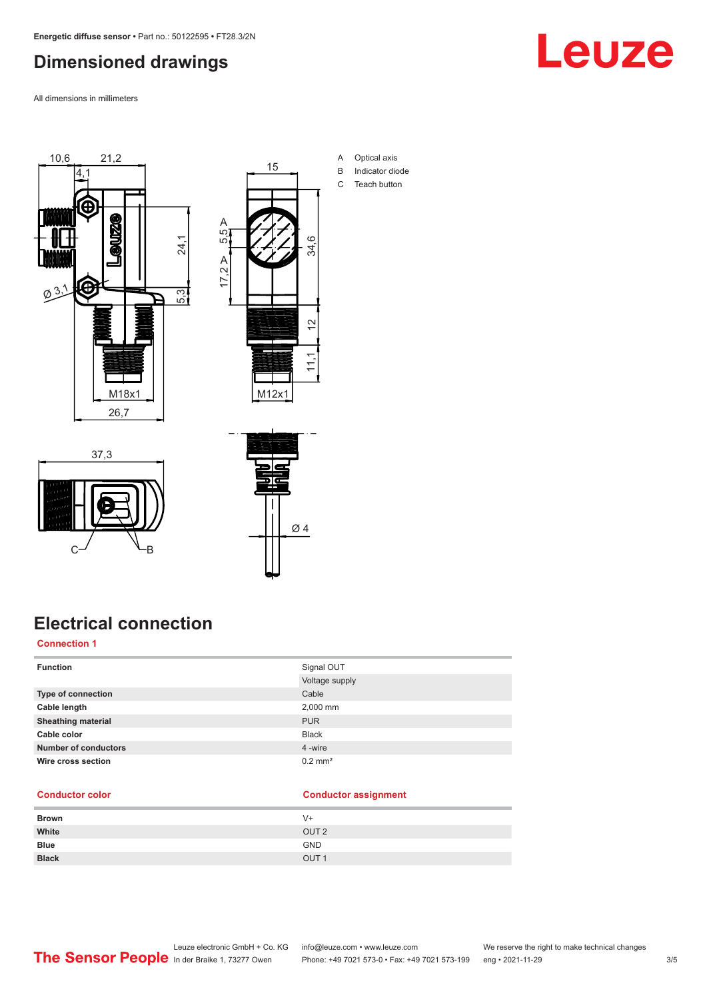## <span id="page-2-0"></span>**Dimensioned drawings**

All dimensions in millimeters



37,3



- A Optical axis B Indicator diode
- C Teach button

## **Electrical connection**

 $C \rightarrow C$ 

### **Connection 1**

| <b>Function</b>             | Signal OUT            |
|-----------------------------|-----------------------|
|                             | Voltage supply        |
| Type of connection          | Cable                 |
| Cable length                | 2,000 mm              |
| <b>Sheathing material</b>   | <b>PUR</b>            |
| Cable color                 | <b>Black</b>          |
| <b>Number of conductors</b> | 4 -wire               |
| Wire cross section          | $0.2$ mm <sup>2</sup> |

Ø 4

#### **Conductor color Conductor assignment**

| <b>Brown</b> | V+               |
|--------------|------------------|
| White        | OUT <sub>2</sub> |
| <b>Blue</b>  | <b>GND</b>       |
| <b>Black</b> | OUT <sub>1</sub> |

Leuze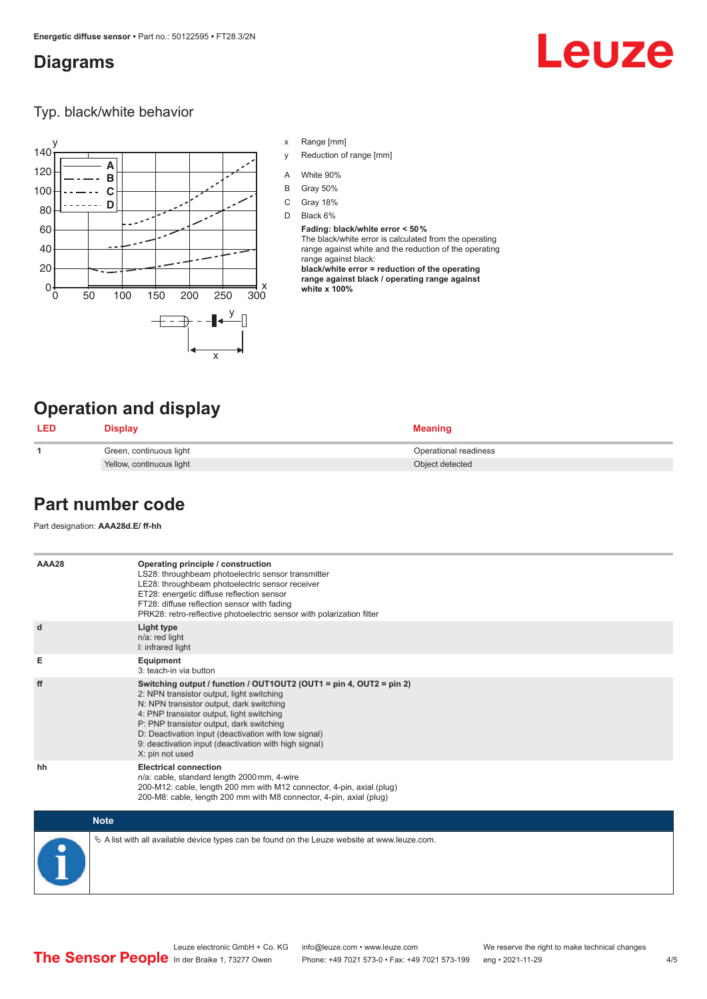## <span id="page-3-0"></span>**Diagrams**

# Leuze

Typ. black/white behavior



- x Range [mm]
- y Reduction of range [mm]
- A White 90%
- B Gray 50%
- C Gray 18%
- D Black 6%

**Fading: black/white error < 50 %** The black/white error is calculated from the operating range against white and the reduction of the operating range against black: **black/white error = reduction of the operating range against black / operating range against** 

**white x 100%**

## **Operation and display**

| <b>LED</b> | Display                  | <b>Meaning</b>        |
|------------|--------------------------|-----------------------|
|            | Green, continuous light  | Operational readiness |
|            | Yellow, continuous light | Object detected       |

## **Part number code**

Part designation: **AAA28d.E/ ff-hh**

| AAA28 | Operating principle / construction<br>LS28: throughbeam photoelectric sensor transmitter<br>LE28: throughbeam photoelectric sensor receiver<br>ET28: energetic diffuse reflection sensor<br>FT28: diffuse reflection sensor with fading<br>PRK28: retro-reflective photoelectric sensor with polarization filter                                                                          |
|-------|-------------------------------------------------------------------------------------------------------------------------------------------------------------------------------------------------------------------------------------------------------------------------------------------------------------------------------------------------------------------------------------------|
| d     | Light type<br>n/a: red light<br>I: infrared light                                                                                                                                                                                                                                                                                                                                         |
| Е     | Equipment<br>3: teach-in via button                                                                                                                                                                                                                                                                                                                                                       |
| ff    | Switching output / function / OUT1OUT2 (OUT1 = pin 4, OUT2 = pin 2)<br>2: NPN transistor output, light switching<br>N: NPN transistor output, dark switching<br>4: PNP transistor output, light switching<br>P: PNP transistor output, dark switching<br>D: Deactivation input (deactivation with low signal)<br>9: deactivation input (deactivation with high signal)<br>X: pin not used |
| hh    | <b>Electrical connection</b><br>n/a: cable, standard length 2000 mm, 4-wire<br>200-M12: cable, length 200 mm with M12 connector, 4-pin, axial (plug)<br>200-M8: cable, length 200 mm with M8 connector, 4-pin, axial (plug)                                                                                                                                                               |

| <b>Note</b>                                                                                  |
|----------------------------------------------------------------------------------------------|
| ∜ A list with all available device types can be found on the Leuze website at www.leuze.com. |